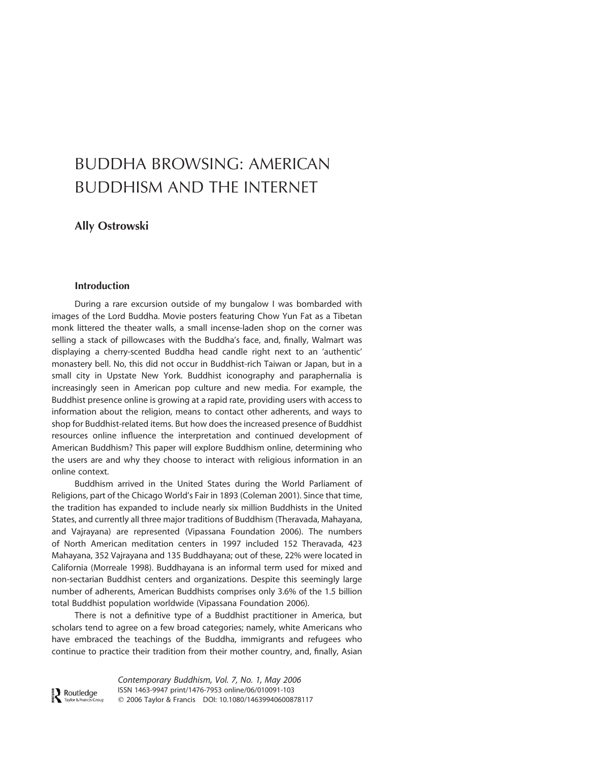# BUDDHA BROWSING: AMERICAN BUDDHISM AND THE INTERNET

# Ally Ostrowski

# Introduction

During a rare excursion outside of my bungalow I was bombarded with images of the Lord Buddha. Movie posters featuring Chow Yun Fat as a Tibetan monk littered the theater walls, a small incense-laden shop on the corner was selling a stack of pillowcases with the Buddha's face, and, finally, Walmart was displaying a cherry-scented Buddha head candle right next to an 'authentic' monastery bell. No, this did not occur in Buddhist-rich Taiwan or Japan, but in a small city in Upstate New York. Buddhist iconography and paraphernalia is increasingly seen in American pop culture and new media. For example, the Buddhist presence online is growing at a rapid rate, providing users with access to information about the religion, means to contact other adherents, and ways to shop for Buddhist-related items. But how does the increased presence of Buddhist resources online influence the interpretation and continued development of American Buddhism? This paper will explore Buddhism online, determining who the users are and why they choose to interact with religious information in an online context.

Buddhism arrived in the United States during the World Parliament of Religions, part of the Chicago World's Fair in 1893 (Coleman 2001). Since that time, the tradition has expanded to include nearly six million Buddhists in the United States, and currently all three major traditions of Buddhism (Theravada, Mahayana, and Vajrayana) are represented (Vipassana Foundation 2006). The numbers of North American meditation centers in 1997 included 152 Theravada, 423 Mahayana, 352 Vajrayana and 135 Buddhayana; out of these, 22% were located in California (Morreale 1998). Buddhayana is an informal term used for mixed and non-sectarian Buddhist centers and organizations. Despite this seemingly large number of adherents, American Buddhists comprises only 3.6% of the 1.5 billion total Buddhist population worldwide (Vipassana Foundation 2006).

There is not a definitive type of a Buddhist practitioner in America, but scholars tend to agree on a few broad categories; namely, white Americans who have embraced the teachings of the Buddha, immigrants and refugees who continue to practice their tradition from their mother country, and, finally, Asian

 $\sum$  Routledge

Contemporary Buddhism, Vol. 7, No. 1, May 2006 ISSN 1463-9947 print/1476-7953 online/06/010091-103 q 2006 Taylor & Francis DOI: 10.1080/14639940600878117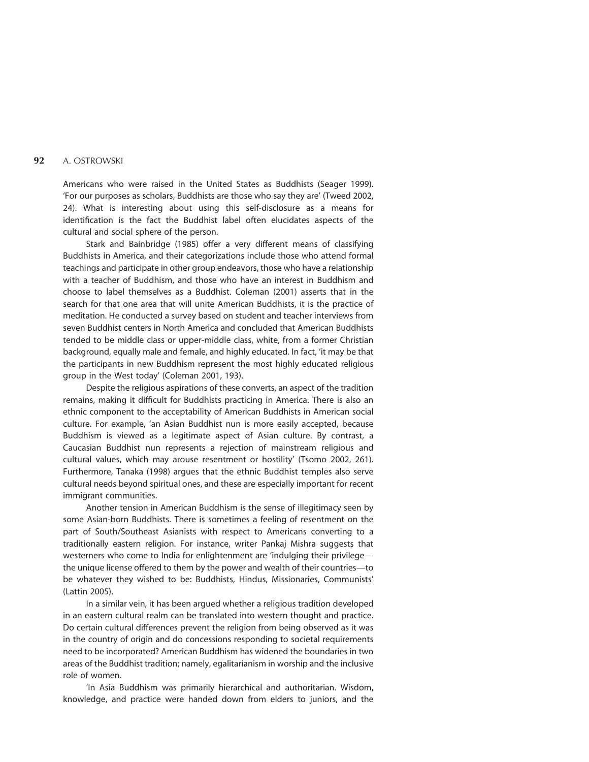Americans who were raised in the United States as Buddhists (Seager 1999). 'For our purposes as scholars, Buddhists are those who say they are' (Tweed 2002, 24). What is interesting about using this self-disclosure as a means for identification is the fact the Buddhist label often elucidates aspects of the cultural and social sphere of the person.

Stark and Bainbridge (1985) offer a very different means of classifying Buddhists in America, and their categorizations include those who attend formal teachings and participate in other group endeavors, those who have a relationship with a teacher of Buddhism, and those who have an interest in Buddhism and choose to label themselves as a Buddhist. Coleman (2001) asserts that in the search for that one area that will unite American Buddhists, it is the practice of meditation. He conducted a survey based on student and teacher interviews from seven Buddhist centers in North America and concluded that American Buddhists tended to be middle class or upper-middle class, white, from a former Christian background, equally male and female, and highly educated. In fact, 'it may be that the participants in new Buddhism represent the most highly educated religious group in the West today' (Coleman 2001, 193).

Despite the religious aspirations of these converts, an aspect of the tradition remains, making it difficult for Buddhists practicing in America. There is also an ethnic component to the acceptability of American Buddhists in American social culture. For example, 'an Asian Buddhist nun is more easily accepted, because Buddhism is viewed as a legitimate aspect of Asian culture. By contrast, a Caucasian Buddhist nun represents a rejection of mainstream religious and cultural values, which may arouse resentment or hostility' (Tsomo 2002, 261). Furthermore, Tanaka (1998) argues that the ethnic Buddhist temples also serve cultural needs beyond spiritual ones, and these are especially important for recent immigrant communities.

Another tension in American Buddhism is the sense of illegitimacy seen by some Asian-born Buddhists. There is sometimes a feeling of resentment on the part of South/Southeast Asianists with respect to Americans converting to a traditionally eastern religion. For instance, writer Pankaj Mishra suggests that westerners who come to India for enlightenment are 'indulging their privilege the unique license offered to them by the power and wealth of their countries—to be whatever they wished to be: Buddhists, Hindus, Missionaries, Communists' (Lattin 2005).

In a similar vein, it has been argued whether a religious tradition developed in an eastern cultural realm can be translated into western thought and practice. Do certain cultural differences prevent the religion from being observed as it was in the country of origin and do concessions responding to societal requirements need to be incorporated? American Buddhism has widened the boundaries in two areas of the Buddhist tradition; namely, egalitarianism in worship and the inclusive role of women.

'In Asia Buddhism was primarily hierarchical and authoritarian. Wisdom, knowledge, and practice were handed down from elders to juniors, and the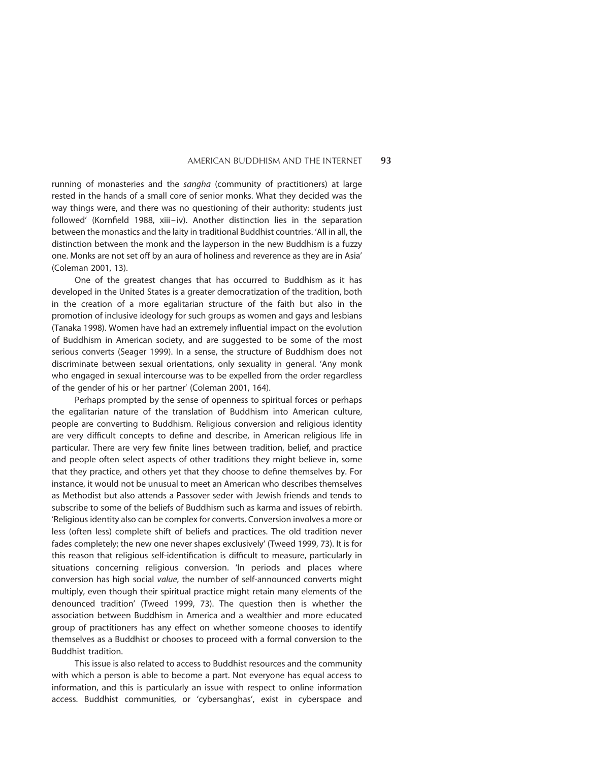running of monasteries and the sangha (community of practitioners) at large rested in the hands of a small core of senior monks. What they decided was the way things were, and there was no questioning of their authority: students just followed' (Kornfield 1988, xiii–iv). Another distinction lies in the separation between the monastics and the laity in traditional Buddhist countries. 'All in all, the distinction between the monk and the layperson in the new Buddhism is a fuzzy one. Monks are not set off by an aura of holiness and reverence as they are in Asia' (Coleman 2001, 13).

One of the greatest changes that has occurred to Buddhism as it has developed in the United States is a greater democratization of the tradition, both in the creation of a more egalitarian structure of the faith but also in the promotion of inclusive ideology for such groups as women and gays and lesbians (Tanaka 1998). Women have had an extremely influential impact on the evolution of Buddhism in American society, and are suggested to be some of the most serious converts (Seager 1999). In a sense, the structure of Buddhism does not discriminate between sexual orientations, only sexuality in general. 'Any monk who engaged in sexual intercourse was to be expelled from the order regardless of the gender of his or her partner' (Coleman 2001, 164).

Perhaps prompted by the sense of openness to spiritual forces or perhaps the egalitarian nature of the translation of Buddhism into American culture, people are converting to Buddhism. Religious conversion and religious identity are very difficult concepts to define and describe, in American religious life in particular. There are very few finite lines between tradition, belief, and practice and people often select aspects of other traditions they might believe in, some that they practice, and others yet that they choose to define themselves by. For instance, it would not be unusual to meet an American who describes themselves as Methodist but also attends a Passover seder with Jewish friends and tends to subscribe to some of the beliefs of Buddhism such as karma and issues of rebirth. 'Religious identity also can be complex for converts. Conversion involves a more or less (often less) complete shift of beliefs and practices. The old tradition never fades completely; the new one never shapes exclusively' (Tweed 1999, 73). It is for this reason that religious self-identification is difficult to measure, particularly in situations concerning religious conversion. 'In periods and places where conversion has high social value, the number of self-announced converts might multiply, even though their spiritual practice might retain many elements of the denounced tradition' (Tweed 1999, 73). The question then is whether the association between Buddhism in America and a wealthier and more educated group of practitioners has any effect on whether someone chooses to identify themselves as a Buddhist or chooses to proceed with a formal conversion to the Buddhist tradition.

This issue is also related to access to Buddhist resources and the community with which a person is able to become a part. Not everyone has equal access to information, and this is particularly an issue with respect to online information access. Buddhist communities, or 'cybersanghas', exist in cyberspace and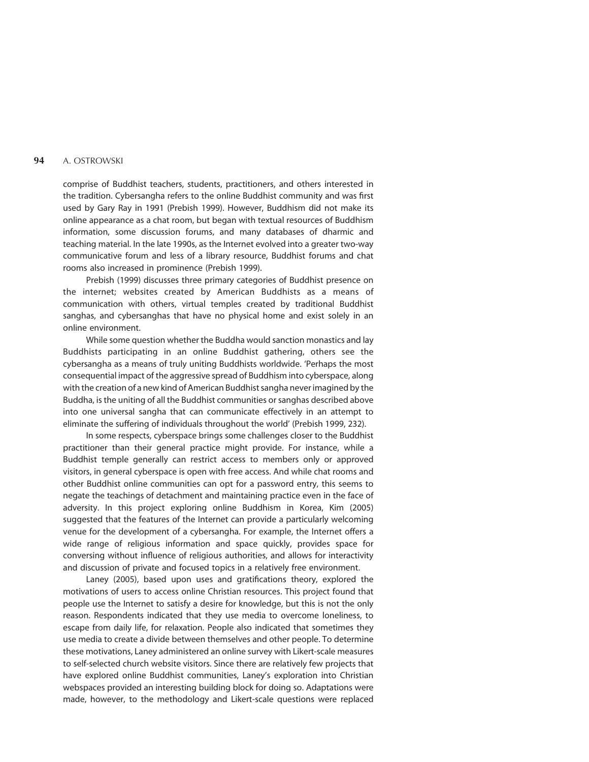comprise of Buddhist teachers, students, practitioners, and others interested in the tradition. Cybersangha refers to the online Buddhist community and was first used by Gary Ray in 1991 (Prebish 1999). However, Buddhism did not make its online appearance as a chat room, but began with textual resources of Buddhism information, some discussion forums, and many databases of dharmic and teaching material. In the late 1990s, as the Internet evolved into a greater two-way communicative forum and less of a library resource, Buddhist forums and chat rooms also increased in prominence (Prebish 1999).

Prebish (1999) discusses three primary categories of Buddhist presence on the internet; websites created by American Buddhists as a means of communication with others, virtual temples created by traditional Buddhist sanghas, and cybersanghas that have no physical home and exist solely in an online environment.

While some question whether the Buddha would sanction monastics and lay Buddhists participating in an online Buddhist gathering, others see the cybersangha as a means of truly uniting Buddhists worldwide. 'Perhaps the most consequential impact of the aggressive spread of Buddhism into cyberspace, along with the creation of a new kind of American Buddhist sangha never imagined by the Buddha, is the uniting of all the Buddhist communities or sanghas described above into one universal sangha that can communicate effectively in an attempt to eliminate the suffering of individuals throughout the world' (Prebish 1999, 232).

In some respects, cyberspace brings some challenges closer to the Buddhist practitioner than their general practice might provide. For instance, while a Buddhist temple generally can restrict access to members only or approved visitors, in general cyberspace is open with free access. And while chat rooms and other Buddhist online communities can opt for a password entry, this seems to negate the teachings of detachment and maintaining practice even in the face of adversity. In this project exploring online Buddhism in Korea, Kim (2005) suggested that the features of the Internet can provide a particularly welcoming venue for the development of a cybersangha. For example, the Internet offers a wide range of religious information and space quickly, provides space for conversing without influence of religious authorities, and allows for interactivity and discussion of private and focused topics in a relatively free environment.

Laney (2005), based upon uses and gratifications theory, explored the motivations of users to access online Christian resources. This project found that people use the Internet to satisfy a desire for knowledge, but this is not the only reason. Respondents indicated that they use media to overcome loneliness, to escape from daily life, for relaxation. People also indicated that sometimes they use media to create a divide between themselves and other people. To determine these motivations, Laney administered an online survey with Likert-scale measures to self-selected church website visitors. Since there are relatively few projects that have explored online Buddhist communities, Laney's exploration into Christian webspaces provided an interesting building block for doing so. Adaptations were made, however, to the methodology and Likert-scale questions were replaced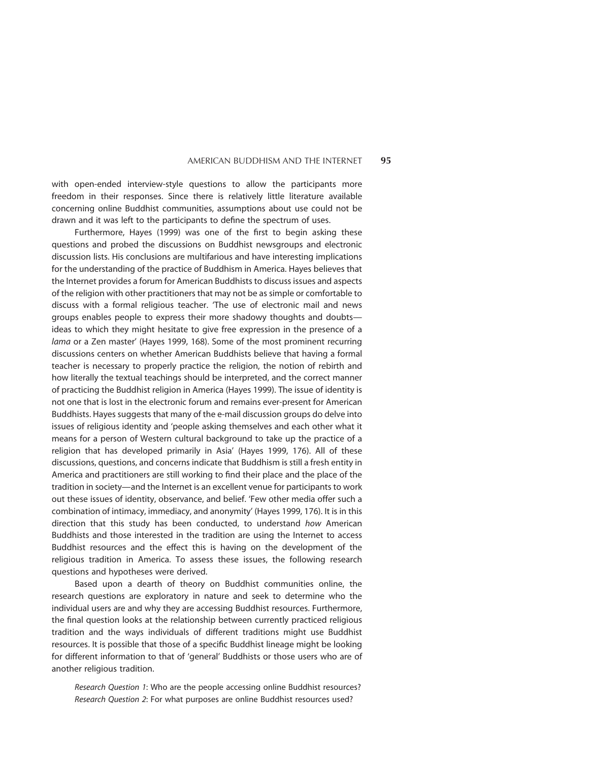with open-ended interview-style questions to allow the participants more freedom in their responses. Since there is relatively little literature available concerning online Buddhist communities, assumptions about use could not be drawn and it was left to the participants to define the spectrum of uses.

Furthermore, Hayes (1999) was one of the first to begin asking these questions and probed the discussions on Buddhist newsgroups and electronic discussion lists. His conclusions are multifarious and have interesting implications for the understanding of the practice of Buddhism in America. Hayes believes that the Internet provides a forum for American Buddhists to discuss issues and aspects of the religion with other practitioners that may not be as simple or comfortable to discuss with a formal religious teacher. 'The use of electronic mail and news groups enables people to express their more shadowy thoughts and doubts ideas to which they might hesitate to give free expression in the presence of a lama or a Zen master' (Hayes 1999, 168). Some of the most prominent recurring discussions centers on whether American Buddhists believe that having a formal teacher is necessary to properly practice the religion, the notion of rebirth and how literally the textual teachings should be interpreted, and the correct manner of practicing the Buddhist religion in America (Hayes 1999). The issue of identity is not one that is lost in the electronic forum and remains ever-present for American Buddhists. Hayes suggests that many of the e-mail discussion groups do delve into issues of religious identity and 'people asking themselves and each other what it means for a person of Western cultural background to take up the practice of a religion that has developed primarily in Asia' (Hayes 1999, 176). All of these discussions, questions, and concerns indicate that Buddhism is still a fresh entity in America and practitioners are still working to find their place and the place of the tradition in society—and the Internet is an excellent venue for participants to work out these issues of identity, observance, and belief. 'Few other media offer such a combination of intimacy, immediacy, and anonymity' (Hayes 1999, 176). It is in this direction that this study has been conducted, to understand how American Buddhists and those interested in the tradition are using the Internet to access Buddhist resources and the effect this is having on the development of the religious tradition in America. To assess these issues, the following research questions and hypotheses were derived.

Based upon a dearth of theory on Buddhist communities online, the research questions are exploratory in nature and seek to determine who the individual users are and why they are accessing Buddhist resources. Furthermore, the final question looks at the relationship between currently practiced religious tradition and the ways individuals of different traditions might use Buddhist resources. It is possible that those of a specific Buddhist lineage might be looking for different information to that of 'general' Buddhists or those users who are of another religious tradition.

Research Question 1: Who are the people accessing online Buddhist resources? Research Question 2: For what purposes are online Buddhist resources used?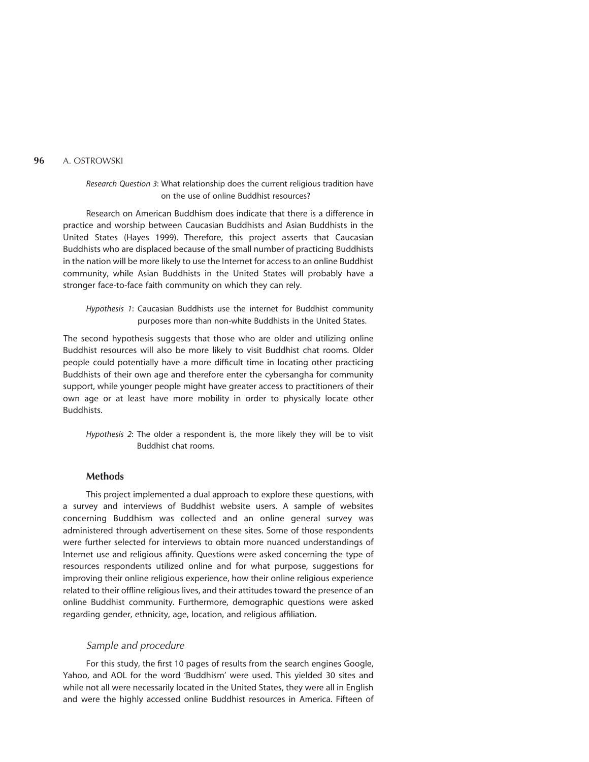Research Question 3: What relationship does the current religious tradition have on the use of online Buddhist resources?

Research on American Buddhism does indicate that there is a difference in practice and worship between Caucasian Buddhists and Asian Buddhists in the United States (Hayes 1999). Therefore, this project asserts that Caucasian Buddhists who are displaced because of the small number of practicing Buddhists in the nation will be more likely to use the Internet for access to an online Buddhist community, while Asian Buddhists in the United States will probably have a stronger face-to-face faith community on which they can rely.

# Hypothesis 1: Caucasian Buddhists use the internet for Buddhist community purposes more than non-white Buddhists in the United States.

The second hypothesis suggests that those who are older and utilizing online Buddhist resources will also be more likely to visit Buddhist chat rooms. Older people could potentially have a more difficult time in locating other practicing Buddhists of their own age and therefore enter the cybersangha for community support, while younger people might have greater access to practitioners of their own age or at least have more mobility in order to physically locate other Buddhists.

Hypothesis 2: The older a respondent is, the more likely they will be to visit Buddhist chat rooms.

# **Methods**

This project implemented a dual approach to explore these questions, with a survey and interviews of Buddhist website users. A sample of websites concerning Buddhism was collected and an online general survey was administered through advertisement on these sites. Some of those respondents were further selected for interviews to obtain more nuanced understandings of Internet use and religious affinity. Questions were asked concerning the type of resources respondents utilized online and for what purpose, suggestions for improving their online religious experience, how their online religious experience related to their offline religious lives, and their attitudes toward the presence of an online Buddhist community. Furthermore, demographic questions were asked regarding gender, ethnicity, age, location, and religious affiliation.

## Sample and procedure

For this study, the first 10 pages of results from the search engines Google, Yahoo, and AOL for the word 'Buddhism' were used. This yielded 30 sites and while not all were necessarily located in the United States, they were all in English and were the highly accessed online Buddhist resources in America. Fifteen of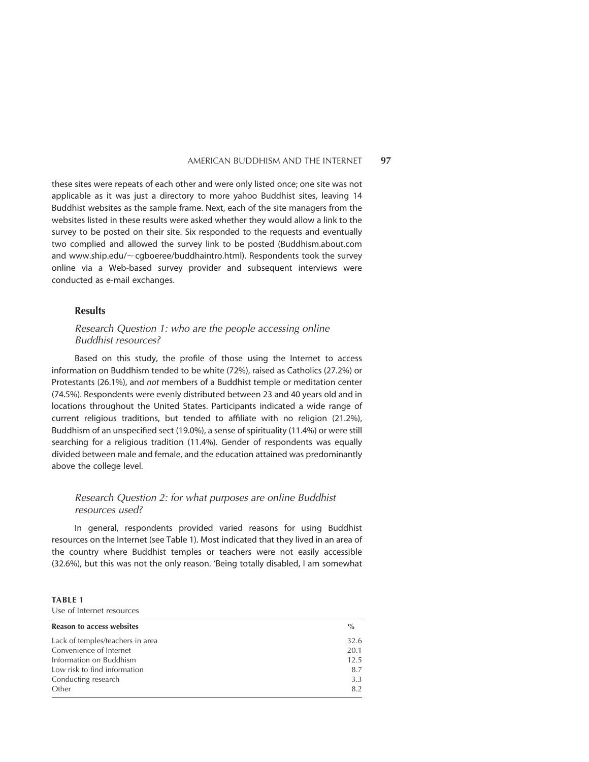these sites were repeats of each other and were only listed once; one site was not applicable as it was just a directory to more yahoo Buddhist sites, leaving 14 Buddhist websites as the sample frame. Next, each of the site managers from the websites listed in these results were asked whether they would allow a link to the survey to be posted on their site. Six responded to the requests and eventually two complied and allowed the survey link to be posted (Buddhism.about.com and www.ship.edu/~cqboeree/buddhaintro.html). Respondents took the survey online via a Web-based survey provider and subsequent interviews were conducted as e-mail exchanges.

## Results

# Research Question 1: who are the people accessing online Buddhist resources?

Based on this study, the profile of those using the Internet to access information on Buddhism tended to be white (72%), raised as Catholics (27.2%) or Protestants (26.1%), and not members of a Buddhist temple or meditation center (74.5%). Respondents were evenly distributed between 23 and 40 years old and in locations throughout the United States. Participants indicated a wide range of current religious traditions, but tended to affiliate with no religion (21.2%), Buddhism of an unspecified sect (19.0%), a sense of spirituality (11.4%) or were still searching for a religious tradition (11.4%). Gender of respondents was equally divided between male and female, and the education attained was predominantly above the college level.

# Research Question 2: for what purposes are online Buddhist resources used?

In general, respondents provided varied reasons for using Buddhist resources on the Internet (see Table 1). Most indicated that they lived in an area of the country where Buddhist temples or teachers were not easily accessible (32.6%), but this was not the only reason. 'Being totally disabled, I am somewhat

# TABLE 1

## Use of Internet resources

| <b>Reason to access websites</b> | $\frac{0}{0}$ |
|----------------------------------|---------------|
| Lack of temples/teachers in area | 32.6          |
| Convenience of Internet          | 20.1          |
| Information on Buddhism          | 12.5          |
| Low risk to find information     | 8.7           |
| Conducting research              | 3.3           |
| Other                            | 8.2           |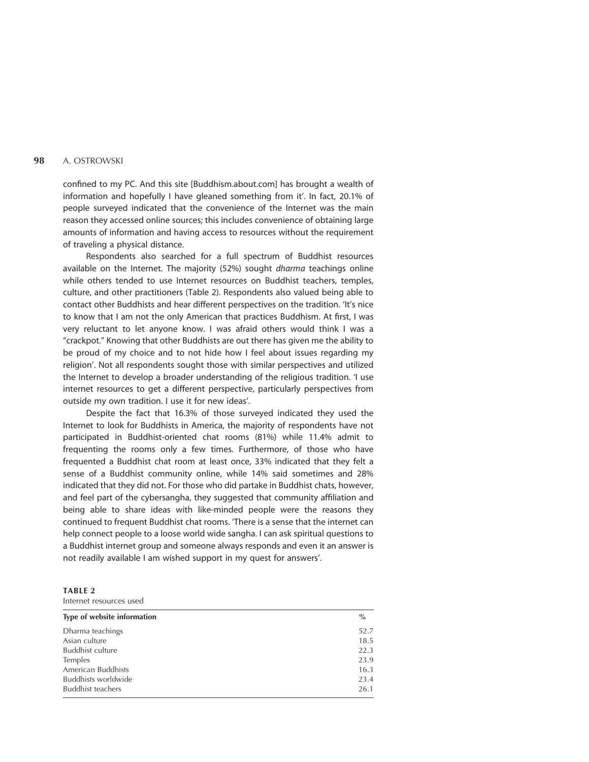confined to my PC. And this site [Buddhism.about.com] has brought a wealth of information and hopefully I have gleaned something from it'. In fact, 20.1% of people surveyed indicated that the convenience of the Internet was the main reason they accessed online sources; this includes convenience of obtaining large amounts of information and having access to resources without the requirement of traveling a physical distance.

Respondents also searched for a full spectrum of Buddhist resources available on the Internet. The majority (52%) sought dharma teachings online while others tended to use Internet resources on Buddhist teachers, temples, culture, and other practitioners (Table 2). Respondents also valued being able to contact other Buddhists and hear different perspectives on the tradition. 'It's nice to know that I am not the only American that practices Buddhism. At first, I was very reluctant to let anyone know. I was afraid others would think I was a "crackpot." Knowing that other Buddhists are out there has given me the ability to be proud of my choice and to not hide how I feel about issues regarding my religion'. Not all respondents sought those with similar perspectives and utilized the Internet to develop a broader understanding of the religious tradition. 'I use internet resources to get a different perspective, particularly perspectives from outside my own tradition. I use it for new ideas'.

Despite the fact that 16.3% of those surveyed indicated they used the Internet to look for Buddhists in America, the majority of respondents have not participated in Buddhist-oriented chat rooms (81%) while 11.4% admit to frequenting the rooms only a few times. Furthermore, of those who have frequented a Buddhist chat room at least once, 33% indicated that they felt a sense of a Buddhist community online, while 14% said sometimes and 28% indicated that they did not. For those who did partake in Buddhist chats, however, and feel part of the cybersangha, they suggested that community affiliation and being able to share ideas with like-minded people were the reasons they continued to frequent Buddhist chat rooms. 'There is a sense that the internet can help connect people to a loose world wide sangha. I can ask spiritual questions to a Buddhist internet group and someone always responds and even it an answer is not readily available I am wished support in my quest for answers'.

# TARIF<sub>2</sub>

Internet resources used

| Type of website information | $\frac{0}{0}$ |
|-----------------------------|---------------|
| Dharma teachings            | 52.7          |
| Asian culture               | 18.5          |
| Buddhist culture            | 22.3          |
| Temples                     | 23.9          |
| American Buddhists          | 16.3          |
| Buddhists worldwide         | 23.4          |
| <b>Buddhist teachers</b>    | 26.1          |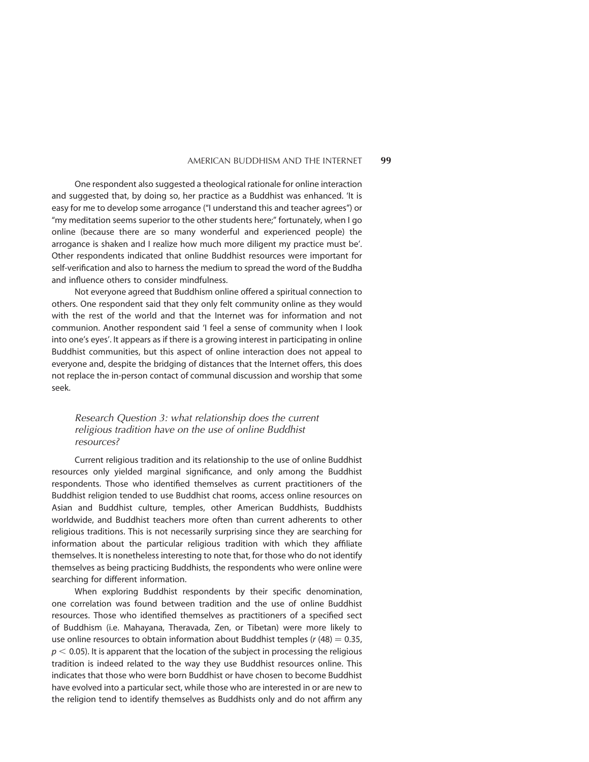One respondent also suggested a theological rationale for online interaction and suggested that, by doing so, her practice as a Buddhist was enhanced. 'It is easy for me to develop some arrogance ("I understand this and teacher agrees") or "my meditation seems superior to the other students here;" fortunately, when I go online (because there are so many wonderful and experienced people) the arrogance is shaken and I realize how much more diligent my practice must be'. Other respondents indicated that online Buddhist resources were important for self-verification and also to harness the medium to spread the word of the Buddha and influence others to consider mindfulness.

Not everyone agreed that Buddhism online offered a spiritual connection to others. One respondent said that they only felt community online as they would with the rest of the world and that the Internet was for information and not communion. Another respondent said 'I feel a sense of community when I look into one's eyes'. It appears as if there is a growing interest in participating in online Buddhist communities, but this aspect of online interaction does not appeal to everyone and, despite the bridging of distances that the Internet offers, this does not replace the in-person contact of communal discussion and worship that some seek.

# Research Question 3: what relationship does the current religious tradition have on the use of online Buddhist resources?

Current religious tradition and its relationship to the use of online Buddhist resources only yielded marginal significance, and only among the Buddhist respondents. Those who identified themselves as current practitioners of the Buddhist religion tended to use Buddhist chat rooms, access online resources on Asian and Buddhist culture, temples, other American Buddhists, Buddhists worldwide, and Buddhist teachers more often than current adherents to other religious traditions. This is not necessarily surprising since they are searching for information about the particular religious tradition with which they affiliate themselves. It is nonetheless interesting to note that, for those who do not identify themselves as being practicing Buddhists, the respondents who were online were searching for different information.

When exploring Buddhist respondents by their specific denomination, one correlation was found between tradition and the use of online Buddhist resources. Those who identified themselves as practitioners of a specified sect of Buddhism (i.e. Mahayana, Theravada, Zen, or Tibetan) were more likely to use online resources to obtain information about Buddhist temples ( $r(48) = 0.35$ ,  $p < 0.05$ ). It is apparent that the location of the subject in processing the religious tradition is indeed related to the way they use Buddhist resources online. This indicates that those who were born Buddhist or have chosen to become Buddhist have evolved into a particular sect, while those who are interested in or are new to the religion tend to identify themselves as Buddhists only and do not affirm any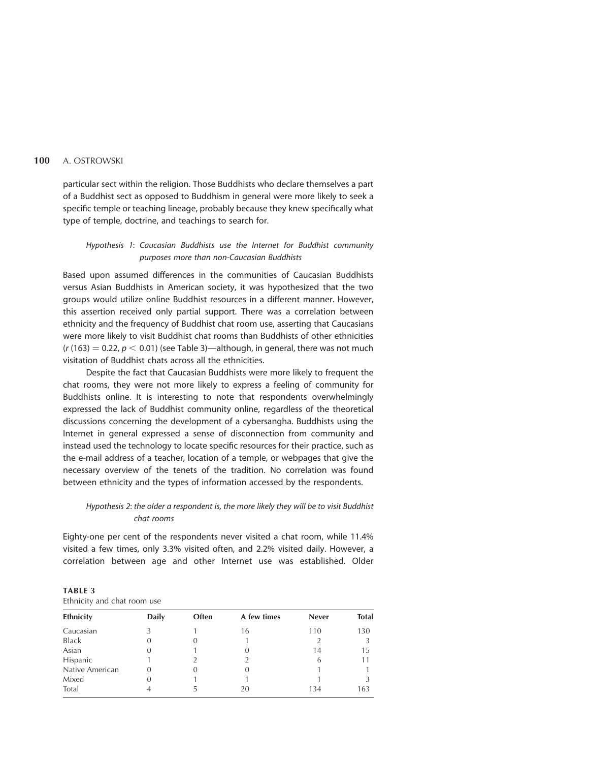particular sect within the religion. Those Buddhists who declare themselves a part of a Buddhist sect as opposed to Buddhism in general were more likely to seek a specific temple or teaching lineage, probably because they knew specifically what type of temple, doctrine, and teachings to search for.

# Hypothesis 1: Caucasian Buddhists use the Internet for Buddhist community purposes more than non-Caucasian Buddhists

Based upon assumed differences in the communities of Caucasian Buddhists versus Asian Buddhists in American society, it was hypothesized that the two groups would utilize online Buddhist resources in a different manner. However, this assertion received only partial support. There was a correlation between ethnicity and the frequency of Buddhist chat room use, asserting that Caucasians were more likely to visit Buddhist chat rooms than Buddhists of other ethnicities  $(r(163) = 0.22, p < 0.01)$  (see Table 3)—although, in general, there was not much visitation of Buddhist chats across all the ethnicities.

Despite the fact that Caucasian Buddhists were more likely to frequent the chat rooms, they were not more likely to express a feeling of community for Buddhists online. It is interesting to note that respondents overwhelmingly expressed the lack of Buddhist community online, regardless of the theoretical discussions concerning the development of a cybersangha. Buddhists using the Internet in general expressed a sense of disconnection from community and instead used the technology to locate specific resources for their practice, such as the e-mail address of a teacher, location of a temple, or webpages that give the necessary overview of the tenets of the tradition. No correlation was found between ethnicity and the types of information accessed by the respondents.

# Hypothesis 2: the older a respondent is, the more likely they will be to visit Buddhist chat rooms

Eighty-one per cent of the respondents never visited a chat room, while 11.4% visited a few times, only 3.3% visited often, and 2.2% visited daily. However, a correlation between age and other Internet use was established. Older

| <b>TABLE 3</b>              |  |  |
|-----------------------------|--|--|
| Ethnicity and chat room use |  |  |

| Ethnicity       | Daily    | Often            | A few times | <b>Never</b> | <b>Total</b> |  |
|-----------------|----------|------------------|-------------|--------------|--------------|--|
| Caucasian       | 3        |                  | 16          | 110          | 130          |  |
| <b>Black</b>    | 0        |                  |             |              |              |  |
| Asian           | 0        |                  | 0           | 14           | 15           |  |
| Hispanic        |          |                  |             | 6            | 11           |  |
| Native American | $\Omega$ | $\left( \right)$ | 0           |              |              |  |
| Mixed           | 0        |                  |             |              |              |  |
| Total           | 4        | ۰,               | 20          | 134          | 163          |  |
|                 |          |                  |             |              |              |  |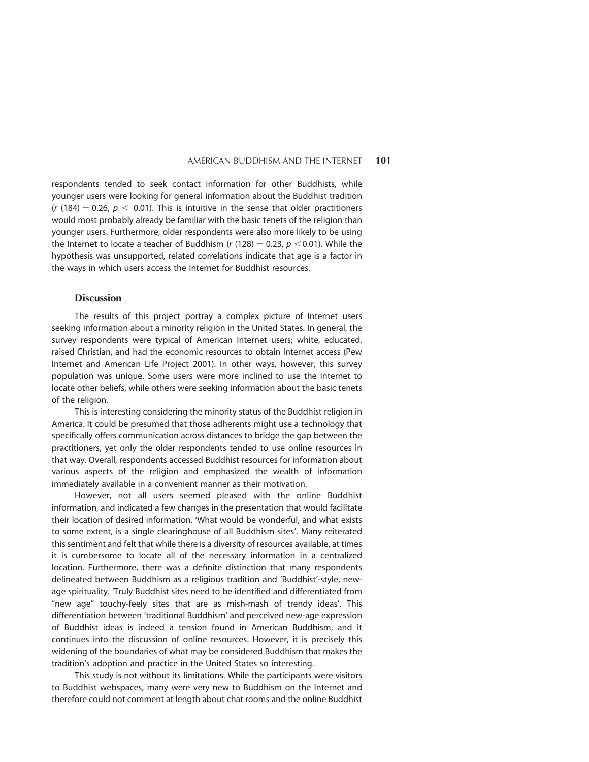respondents tended to seek contact information for other Buddhists, while younger users were looking for general information about the Buddhist tradition  $(r (184) = 0.26, p < 0.01)$ . This is intuitive in the sense that older practitioners would most probably already be familiar with the basic tenets of the religion than younger users. Furthermore, older respondents were also more likely to be using the Internet to locate a teacher of Buddhism (r (128) = 0.23,  $p < 0.01$ ). While the hypothesis was unsupported, related correlations indicate that age is a factor in the ways in which users access the Internet for Buddhist resources.

## **Discussion**

The results of this project portray a complex picture of Internet users seeking information about a minority religion in the United States. In general, the survey respondents were typical of American Internet users; white, educated, raised Christian, and had the economic resources to obtain Internet access (Pew Internet and American Life Project 2001). In other ways, however, this survey population was unique. Some users were more inclined to use the Internet to locate other beliefs, while others were seeking information about the basic tenets of the religion.

This is interesting considering the minority status of the Buddhist religion in America. It could be presumed that those adherents might use a technology that specifically offers communication across distances to bridge the gap between the practitioners, yet only the older respondents tended to use online resources in that way. Overall, respondents accessed Buddhist resources for information about various aspects of the religion and emphasized the wealth of information immediately available in a convenient manner as their motivation.

However, not all users seemed pleased with the online Buddhist information, and indicated a few changes in the presentation that would facilitate their location of desired information. 'What would be wonderful, and what exists to some extent, is a single clearinghouse of all Buddhism sites'. Many reiterated this sentiment and felt that while there is a diversity of resources available, at times it is cumbersome to locate all of the necessary information in a centralized location. Furthermore, there was a definite distinction that many respondents delineated between Buddhism as a religious tradition and 'Buddhist'-style, newage spirituality. 'Truly Buddhist sites need to be identified and differentiated from "new age" touchy-feely sites that are as mish-mash of trendy ideas'. This differentiation between 'traditional Buddhism' and perceived new-age expression of Buddhist ideas is indeed a tension found in American Buddhism, and it continues into the discussion of online resources. However, it is precisely this widening of the boundaries of what may be considered Buddhism that makes the tradition's adoption and practice in the United States so interesting.

This study is not without its limitations. While the participants were visitors to Buddhist webspaces, many were very new to Buddhism on the Internet and therefore could not comment at length about chat rooms and the online Buddhist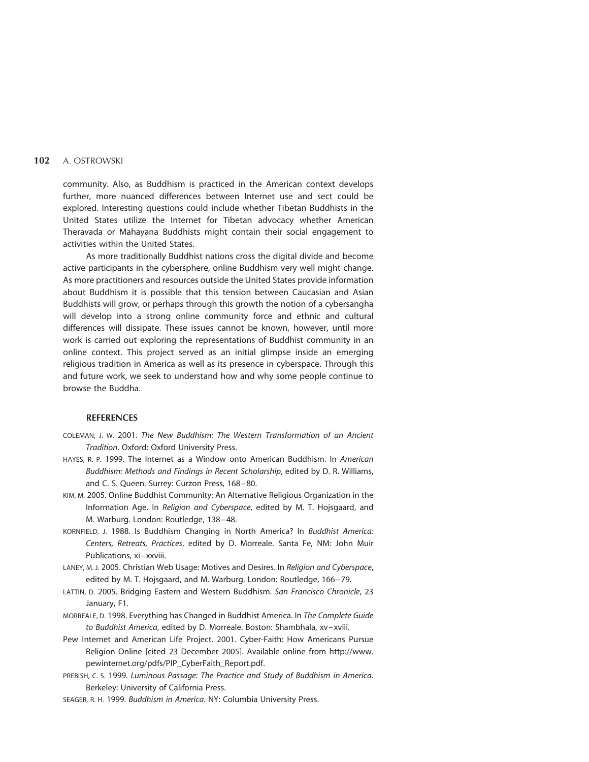community. Also, as Buddhism is practiced in the American context develops further, more nuanced differences between Internet use and sect could be explored. Interesting questions could include whether Tibetan Buddhists in the United States utilize the Internet for Tibetan advocacy whether American Theravada or Mahayana Buddhists might contain their social engagement to activities within the United States.

As more traditionally Buddhist nations cross the digital divide and become active participants in the cybersphere, online Buddhism very well might change. As more practitioners and resources outside the United States provide information about Buddhism it is possible that this tension between Caucasian and Asian Buddhists will grow, or perhaps through this growth the notion of a cybersangha will develop into a strong online community force and ethnic and cultural differences will dissipate. These issues cannot be known, however, until more work is carried out exploring the representations of Buddhist community in an online context. This project served as an initial glimpse inside an emerging religious tradition in America as well as its presence in cyberspace. Through this and future work, we seek to understand how and why some people continue to browse the Buddha.

## **REFERENCES**

- COLEMAN, J. W. 2001. The New Buddhism: The Western Transformation of an Ancient Tradition. Oxford: Oxford University Press.
- HAYES, R. P. 1999. The Internet as a Window onto American Buddhism. In American Buddhism: Methods and Findings in Recent Scholarship, edited by D. R. Williams, and C. S. Queen. Surrey: Curzon Press, 168–80.
- KIM, M. 2005. Online Buddhist Community: An Alternative Religious Organization in the Information Age. In Religion and Cyberspace, edited by M. T. Hojsgaard, and M. Warburg. London: Routledge, 138–48.
- KORNFIELD, J. 1988. Is Buddhism Changing in North America? In Buddhist America: Centers, Retreats, Practices, edited by D. Morreale. Santa Fe, NM: John Muir Publications, xi–xxviii.
- LANEY, M. J. 2005. Christian Web Usage: Motives and Desires. In Religion and Cyberspace, edited by M. T. Hojsgaard, and M. Warburg. London: Routledge, 166–79.
- LATTIN, D. 2005. Bridging Eastern and Western Buddhism. San Francisco Chronicle, 23 January, F1.
- MORREALE, D. 1998. Everything has Changed in Buddhist America. In The Complete Guide to Buddhist America, edited by D. Morreale. Boston: Shambhala, xv–xviii.
- Pew Internet and American Life Project. 2001. Cyber-Faith: How Americans Pursue Religion Online [cited 23 December 2005]. Available online from http://www. pewinternet.org/pdfs/PIP\_CyberFaith\_Report.pdf.
- PREBISH, C. S. 1999. Luminous Passage: The Practice and Study of Buddhism in America. Berkeley: University of California Press.
- SEAGER, R. H. 1999. Buddhism in America. NY: Columbia University Press.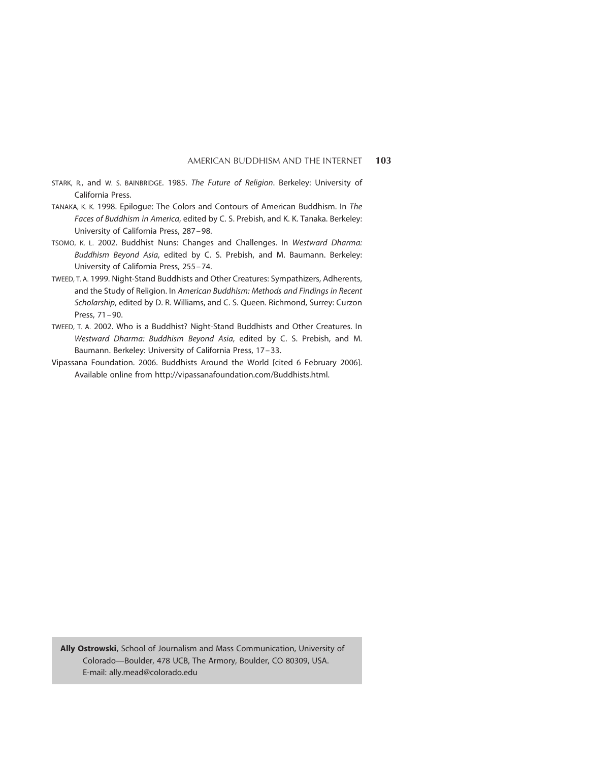- STARK, R., and W. S. BAINBRIDGE. 1985. The Future of Religion. Berkeley: University of California Press.
- TANAKA, K. K. 1998. Epilogue: The Colors and Contours of American Buddhism. In The Faces of Buddhism in America, edited by C. S. Prebish, and K. K. Tanaka. Berkeley: University of California Press, 287–98.
- TSOMO, K. L. 2002. Buddhist Nuns: Changes and Challenges. In Westward Dharma: Buddhism Beyond Asia, edited by C. S. Prebish, and M. Baumann. Berkeley: University of California Press, 255–74.
- TWEED, T. A. 1999. Night-Stand Buddhists and Other Creatures: Sympathizers, Adherents, and the Study of Religion. In American Buddhism: Methods and Findings in Recent Scholarship, edited by D. R. Williams, and C. S. Queen. Richmond, Surrey: Curzon Press, 71 –90.
- TWEED, T. A. 2002. Who is a Buddhist? Night-Stand Buddhists and Other Creatures. In Westward Dharma: Buddhism Beyond Asia, edited by C. S. Prebish, and M. Baumann. Berkeley: University of California Press, 17–33.
- Vipassana Foundation. 2006. Buddhists Around the World [cited 6 February 2006]. Available online from http://vipassanafoundation.com/Buddhists.html.

Ally Ostrowski, School of Journalism and Mass Communication, University of Colorado—Boulder, 478 UCB, The Armory, Boulder, CO 80309, USA. E-mail: ally.mead@colorado.edu